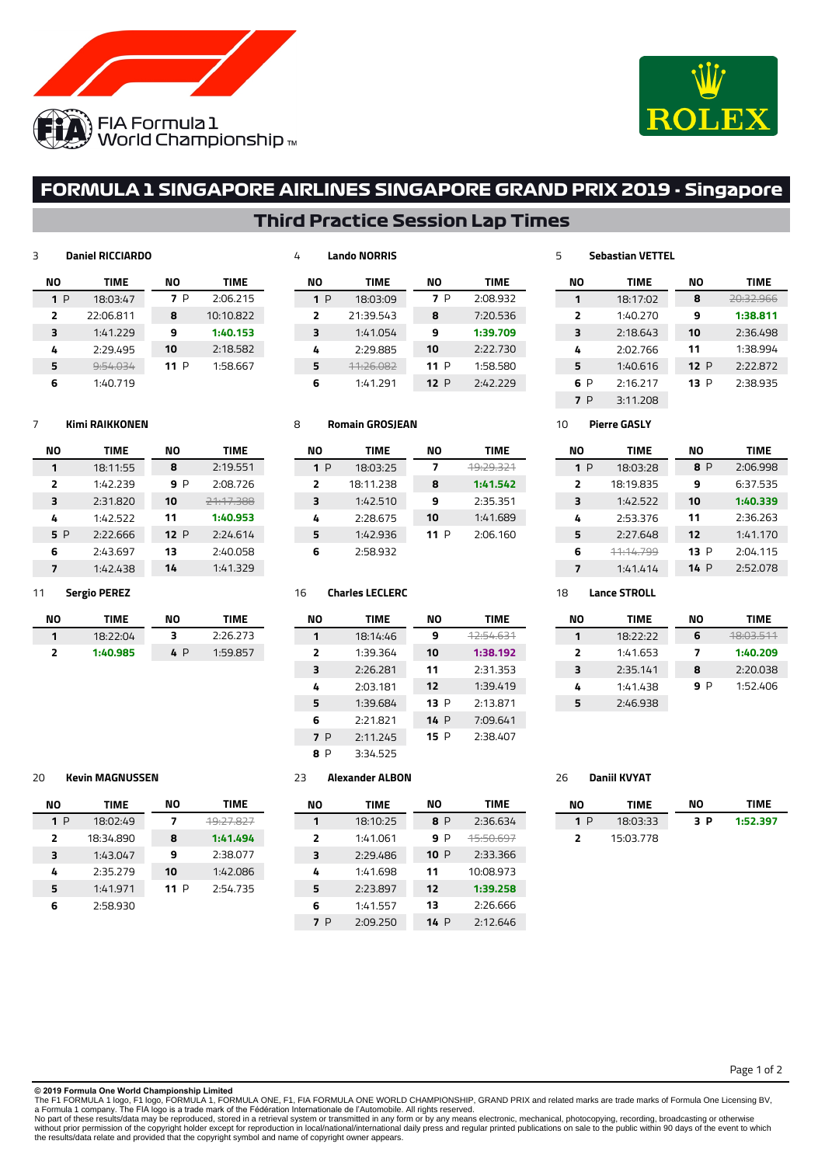



**NO TIME** 20:32.966 **1:38.811** 2:36.498 1:38.994 P 2:22.872 P 2:38.935

**NO TIME** P 2:06.998 6:37.535 **1:40.339** 2:36.263 1:41.170 P 2:04.115 P 2:52.078

**NO TIME** 18:03.511 **1:40.209** 2:20.038 P 1:52.406

# **FORMULA 1 SINGAPORE AIRLINES SINGAPORE GRAND PRIX 2019 - Singapore**

## **Third Practice Session Lap Times**

## **Daniel RICCIARDO**

| NΟ  | <b>TIME</b>        | NΟ   | <b>TIME</b> |
|-----|--------------------|------|-------------|
| 1 P | 18:03:47           | 7 P  | 2:06.215    |
| 2   | 22:06.811          | 8    | 10:10.822   |
| 3   | 1:41.229           | 9    | 1:40.153    |
| 4   | 2:29.495           | 10   | 2:18.582    |
| 5   | <del>:54.034</del> | 11 P | 1:58.667    |
| 6   | 1:40.719           |      |             |

## **Lando NORRIS**

| NΟ  | TIME                 | NΟ     | TIME     |
|-----|----------------------|--------|----------|
| 1 P | 18:03:09             | 7 P    | 2:08.932 |
| 2   | 21:39.543            | 8      | 7:20.536 |
| 3   | 1:41.054             | 9      | 1:39.709 |
| 4   | 2:29.885             | 10     | 2:22.730 |
| 5   | <del>11:26.082</del> | 11 $P$ | 1:58.580 |
| 6   | 1:41.291             | 12 $P$ | 2:42.229 |
|     |                      |        |          |

### **Kimi RAIKKONEN**

| NΟ             | <b>TIME</b> | NΟ  | TIME              |
|----------------|-------------|-----|-------------------|
| 1              | 18:11:55    | 8   | 2:19.551          |
| $\overline{2}$ | 1:42.239    | 9 P | 2:08.726          |
| 3              | 2:31.820    | 10  | <u> 21.17.300</u> |
| 4              | 1:42.522    | 11  | 1:40.953          |
| 5 P            | 2:22.666    | 12P | 2:24.614          |
| 6              | 2:43.697    | 13  | 2:40.058          |
| 7              | 1:42.438    | 14  | 1:41.329          |
|                |             |     |                   |

### **Sergio PEREZ**

| NΟ | TIME     | NΟ  | TIME     |
|----|----------|-----|----------|
|    | 18:22:04 | ₹   | 2:26.273 |
| כ  | 1:40.985 | 4 P | 1:59.857 |

| <b>Romain GROSJEAN</b><br>8 |                                 |    |             |
|-----------------------------|---------------------------------|----|-------------|
| NO                          | TIME                            | NΟ | <b>TIME</b> |
| 1 P                         | 18:03:25                        | 7  | 49:29.321   |
|                             | $\overline{10}$ $\overline{11}$ |    | .           |

| $\overline{ }$ | 18:11.238 | я    | 1:41.542 |
|----------------|-----------|------|----------|
| 3              | 1:42.510  | 9    | 2:35.351 |
| 4              | 2:28.675  | 10   | 1:41.689 |
| 5              | 1:42.936  | 11 P | 2:06.160 |
| 6              | 2:58.932  |      |          |

### **Charles LECLERC**

| ΝO             | <b>TIME</b> | NΟ   | <b>TIME</b> |
|----------------|-------------|------|-------------|
| 1              | 18:14:46    | 9    | 12:54.631   |
| $\overline{2}$ | 1:39.364    | 10   | 1:38.192    |
| 3              | 2:26.281    | 11   | 2:31.353    |
| 4              | 2:03.181    | 12   | 1:39.419    |
| 5              | 1:39.684    | 13P  | 2:13.871    |
| 6              | 2:21.821    | 14P  | 7:09.641    |
| 7 P            | 2:11.245    | 15 P | 2:38.407    |
| 8 P            | 3:34.525    |      |             |

| 8 | 3:34.52 |
|---|---------|
|   |         |

| 20 | <b>Kevin MAGNUSSEN</b> |  |
|----|------------------------|--|
|    |                        |  |

| NΟ | <b>TIME</b> | NΟ   | TIME     |
|----|-------------|------|----------|
| 1P | 18:02:49    | 7    |          |
| 2  | 18:34.890   | 8    | 1:41.494 |
| 3  | 1:43.047    | 9    | 2:38.077 |
| 4  | 2:35.279    | 10   | 1:42.086 |
| 5  | 1:41.971    | 11 P | 2:54.735 |
| 6  | 2:58.930    |      |          |

| NΟ             | <b>TIME</b> | NΟ   | <b>TIME</b>          |
|----------------|-------------|------|----------------------|
| 1              | 18:10:25    | 8 P  | 2:36.634             |
| $\overline{2}$ | 1:41.061    | 9 P  | <del>15:50.697</del> |
| 3              | 2:29.486    | 10P  | 2:33.366             |
| 4              | 1:41.698    | 11   | 10:08.973            |
| 5              | 2:23.897    | 12   | 1:39.258             |
| 6              | 1:41.557    | 13   | 2:26.666             |
| 7 P            | 2:09.250    | 14 P | 2:12.646             |
|                |             |      |                      |

## **Daniil KVYAT**

 **Sebastian VETTEL NO TIME** 18:17:02 1:40.270 2:18.643 2:02.766 1:40.616 P 2:16.217 P 3:11.208

 **Pierre GASLY NO TIME** P 18:03:28 18:19.835 1:42.522 2:53.376 2:27.648 11:14.799 1:41.414

 **Lance STROLL NO TIME** 18:22:22 1:41.653 2:35.141 1:41.438 2:46.938

| NΟ                       | TIME      | NΟ  | <b>TIME</b> |
|--------------------------|-----------|-----|-------------|
| 1 P                      | 18:03:33  | 3 P | 1:52.397    |
| $\overline{\phantom{a}}$ | 15:03.778 |     |             |

**© 2019 Formula One World Championship Limited**

The F1 FORMULA 1 logo, F1 logo, FORMULA 1, FORMULA ONE, F1, FIA FORMULA ONE WORLD CHAMPIONSHIP, GRAND PRIX and related marks are trade marks of Formula One Licensing BV,<br>No part of these results/data may be reproduced, sto